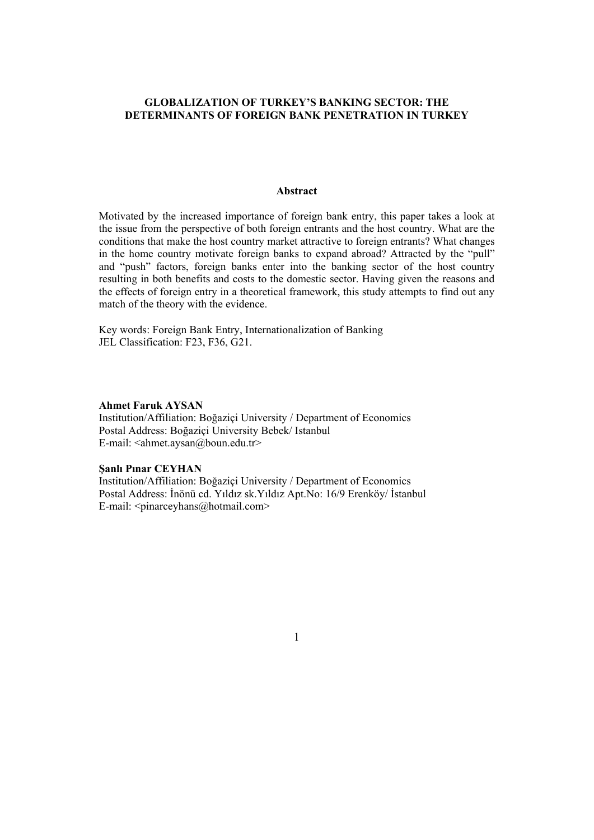# **GLOBALIZATION OF TURKEY'S BANKING SECTOR: THE DETERMINANTS OF FOREIGN BANK PENETRATION IN TURKEY**

## **Abstract**

Motivated by the increased importance of foreign bank entry, this paper takes a look at the issue from the perspective of both foreign entrants and the host country. What are the conditions that make the host country market attractive to foreign entrants? What changes in the home country motivate foreign banks to expand abroad? Attracted by the "pull" and "push" factors, foreign banks enter into the banking sector of the host country resulting in both benefits and costs to the domestic sector. Having given the reasons and the effects of foreign entry in a theoretical framework, this study attempts to find out any match of the theory with the evidence.

Key words: Foreign Bank Entry, Internationalization of Banking JEL Classification: F23, F36, G21.

### **Ahmet Faruk AYSAN**

Institution/Affiliation: Boğaziçi University / Department of Economics Postal Address: Boğaziçi University Bebek/ Istanbul E-mail: <ahmet.aysan@boun.edu.tr>

## **Şanlı Pınar CEYHAN**

Institution/Affiliation: Boğaziçi University / Department of Economics Postal Address: İnönü cd. Yıldız sk.Yıldız Apt.No: 16/9 Erenköy/ İstanbul E-mail: <pinarceyhans@hotmail.com>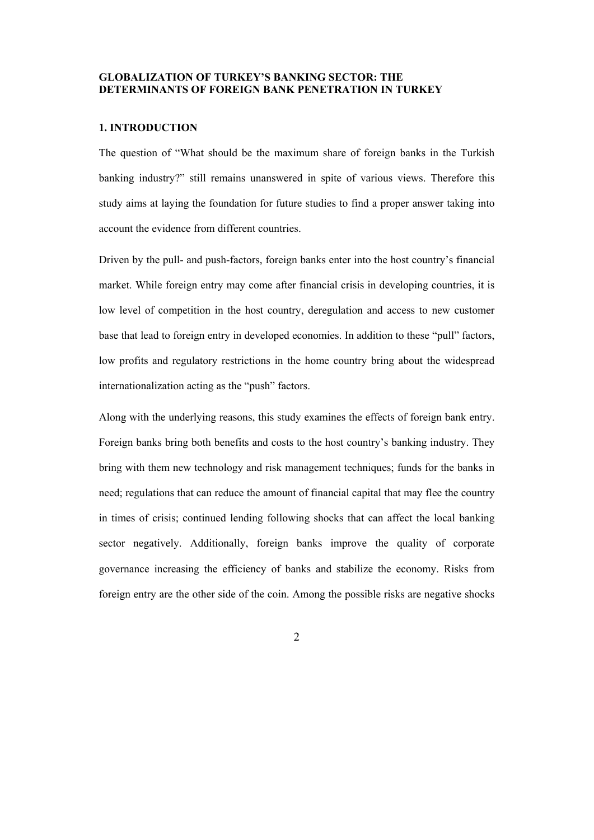# **GLOBALIZATION OF TURKEY'S BANKING SECTOR: THE DETERMINANTS OF FOREIGN BANK PENETRATION IN TURKEY**

# **1. INTRODUCTION**

The question of "What should be the maximum share of foreign banks in the Turkish banking industry?" still remains unanswered in spite of various views. Therefore this study aims at laying the foundation for future studies to find a proper answer taking into account the evidence from different countries.

Driven by the pull- and push-factors, foreign banks enter into the host country's financial market. While foreign entry may come after financial crisis in developing countries, it is low level of competition in the host country, deregulation and access to new customer base that lead to foreign entry in developed economies. In addition to these "pull" factors, low profits and regulatory restrictions in the home country bring about the widespread internationalization acting as the "push" factors.

Along with the underlying reasons, this study examines the effects of foreign bank entry. Foreign banks bring both benefits and costs to the host country's banking industry. They bring with them new technology and risk management techniques; funds for the banks in need; regulations that can reduce the amount of financial capital that may flee the country in times of crisis; continued lending following shocks that can affect the local banking sector negatively. Additionally, foreign banks improve the quality of corporate governance increasing the efficiency of banks and stabilize the economy. Risks from foreign entry are the other side of the coin. Among the possible risks are negative shocks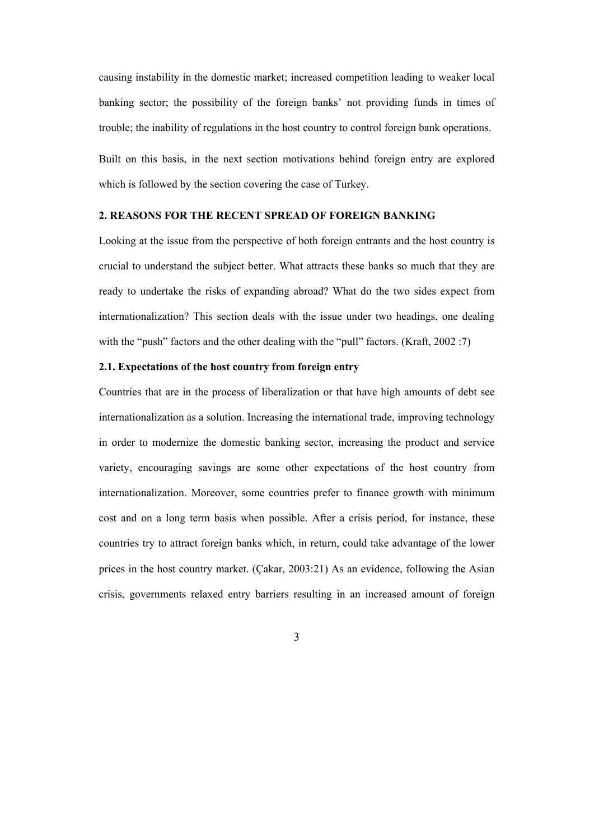causing instability in the domestic market; increased competition leading to weaker local banking sector; the possibility of the foreign banks' not providing funds in times of trouble; the inability of regulations in the host country to control foreign bank operations. Built on this basis, in the next section motivations behind foreign entry are explored which is followed by the section covering the case of Turkey.

## **2. REASONS FOR THE RECENT SPREAD OF FOREIGN BANKING**

Looking at the issue from the perspective of both foreign entrants and the host country is crucial to understand the subject better. What attracts these banks so much that they are ready to undertake the risks of expanding abroad? What do the two sides expect from internationalization? This section deals with the issue under two headings, one dealing with the "push" factors and the other dealing with the "pull" factors. (Kraft, 2002 :7)

### **2.1. Expectations of the host country from foreign entry**

Countries that are in the process of liberalization or that have high amounts of debt see internationalization as a solution. Increasing the international trade, improving technology in order to modernize the domestic banking sector, increasing the product and service variety, encouraging savings are some other expectations of the host country from internationalization. Moreover, some countries prefer to finance growth with minimum cost and on a long term basis when possible. After a crisis period, for instance, these countries try to attract foreign banks which, in return, could take advantage of the lower prices in the host country market. (Çakar, 2003:21) As an evidence, following the Asian crisis, governments relaxed entry barriers resulting in an increased amount of foreign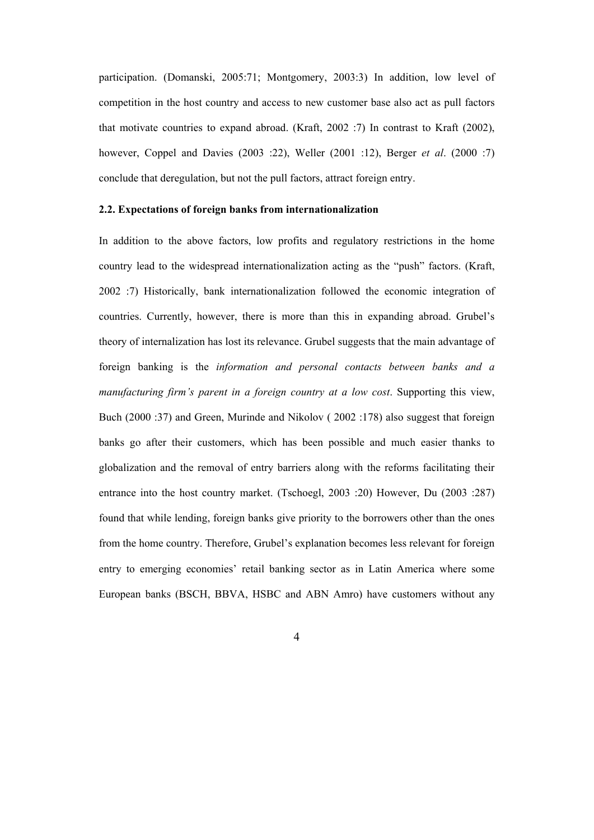participation. (Domanski, 2005:71; Montgomery, 2003:3) In addition, low level of competition in the host country and access to new customer base also act as pull factors that motivate countries to expand abroad. (Kraft, 2002 :7) In contrast to Kraft (2002), however, Coppel and Davies (2003 :22), Weller (2001 :12), Berger *et al*. (2000 :7) conclude that deregulation, but not the pull factors, attract foreign entry.

#### **2.2. Expectations of foreign banks from internationalization**

In addition to the above factors, low profits and regulatory restrictions in the home country lead to the widespread internationalization acting as the "push" factors. (Kraft, 2002 :7) Historically, bank internationalization followed the economic integration of countries. Currently, however, there is more than this in expanding abroad. Grubel's theory of internalization has lost its relevance. Grubel suggests that the main advantage of foreign banking is the *information and personal contacts between banks and a manufacturing firm's parent in a foreign country at a low cost*. Supporting this view, Buch (2000 :37) and Green, Murinde and Nikolov ( 2002 :178) also suggest that foreign banks go after their customers, which has been possible and much easier thanks to globalization and the removal of entry barriers along with the reforms facilitating their entrance into the host country market. (Tschoegl, 2003 :20) However, Du (2003 :287) found that while lending, foreign banks give priority to the borrowers other than the ones from the home country. Therefore, Grubel's explanation becomes less relevant for foreign entry to emerging economies' retail banking sector as in Latin America where some European banks (BSCH, BBVA, HSBC and ABN Amro) have customers without any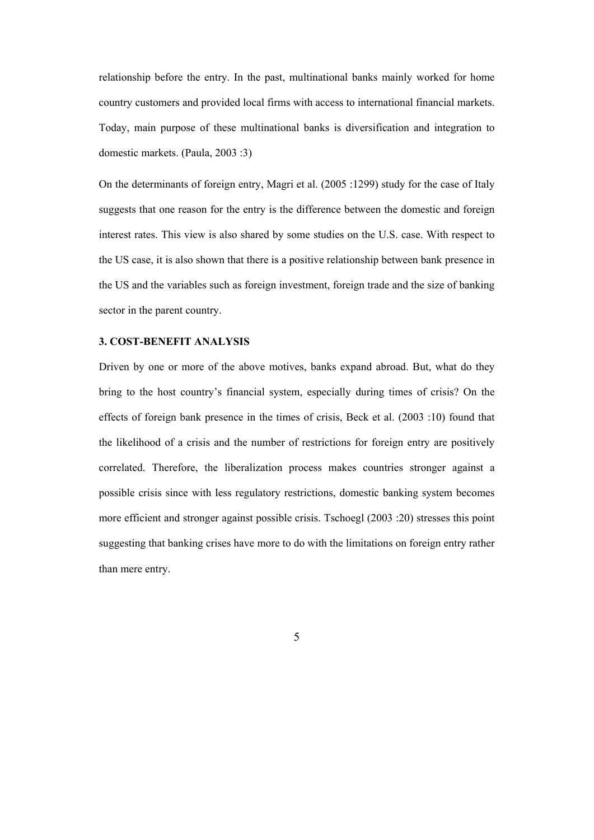relationship before the entry. In the past, multinational banks mainly worked for home country customers and provided local firms with access to international financial markets. Today, main purpose of these multinational banks is diversification and integration to domestic markets. (Paula, 2003 :3)

On the determinants of foreign entry, Magri et al. (2005 :1299) study for the case of Italy suggests that one reason for the entry is the difference between the domestic and foreign interest rates. This view is also shared by some studies on the U.S. case. With respect to the US case, it is also shown that there is a positive relationship between bank presence in the US and the variables such as foreign investment, foreign trade and the size of banking sector in the parent country.

#### **3. COST-BENEFIT ANALYSIS**

Driven by one or more of the above motives, banks expand abroad. But, what do they bring to the host country's financial system, especially during times of crisis? On the effects of foreign bank presence in the times of crisis, Beck et al. (2003 :10) found that the likelihood of a crisis and the number of restrictions for foreign entry are positively correlated. Therefore, the liberalization process makes countries stronger against a possible crisis since with less regulatory restrictions, domestic banking system becomes more efficient and stronger against possible crisis. Tschoegl (2003 :20) stresses this point suggesting that banking crises have more to do with the limitations on foreign entry rather than mere entry.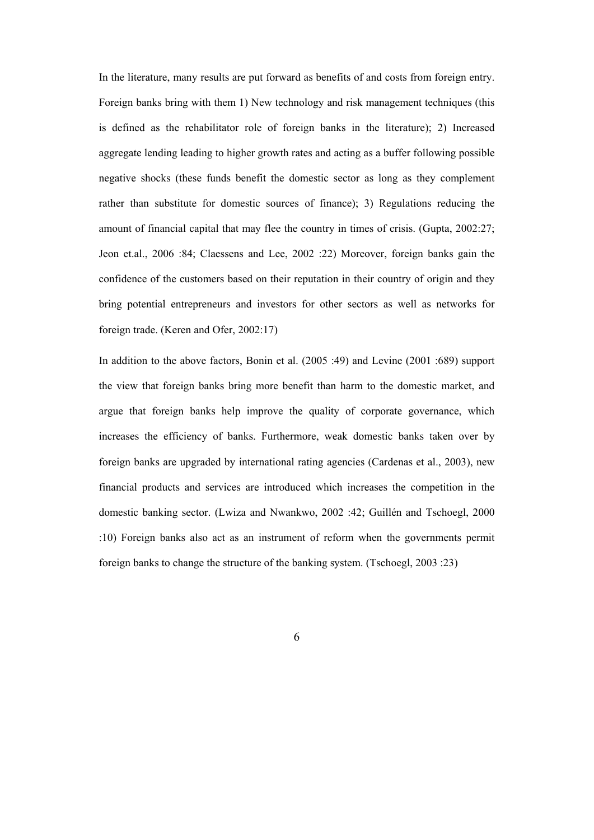In the literature, many results are put forward as benefits of and costs from foreign entry. Foreign banks bring with them 1) New technology and risk management techniques (this is defined as the rehabilitator role of foreign banks in the literature); 2) Increased aggregate lending leading to higher growth rates and acting as a buffer following possible negative shocks (these funds benefit the domestic sector as long as they complement rather than substitute for domestic sources of finance); 3) Regulations reducing the amount of financial capital that may flee the country in times of crisis. (Gupta, 2002:27; Jeon et.al., 2006 :84; Claessens and Lee, 2002 :22) Moreover, foreign banks gain the confidence of the customers based on their reputation in their country of origin and they bring potential entrepreneurs and investors for other sectors as well as networks for foreign trade. (Keren and Ofer, 2002:17)

In addition to the above factors, Bonin et al. (2005 :49) and Levine (2001 :689) support the view that foreign banks bring more benefit than harm to the domestic market, and argue that foreign banks help improve the quality of corporate governance, which increases the efficiency of banks. Furthermore, weak domestic banks taken over by foreign banks are upgraded by international rating agencies (Cardenas et al., 2003), new financial products and services are introduced which increases the competition in the domestic banking sector. (Lwiza and Nwankwo, 2002 :42; Guillén and Tschoegl, 2000 :10) Foreign banks also act as an instrument of reform when the governments permit foreign banks to change the structure of the banking system. (Tschoegl, 2003 :23)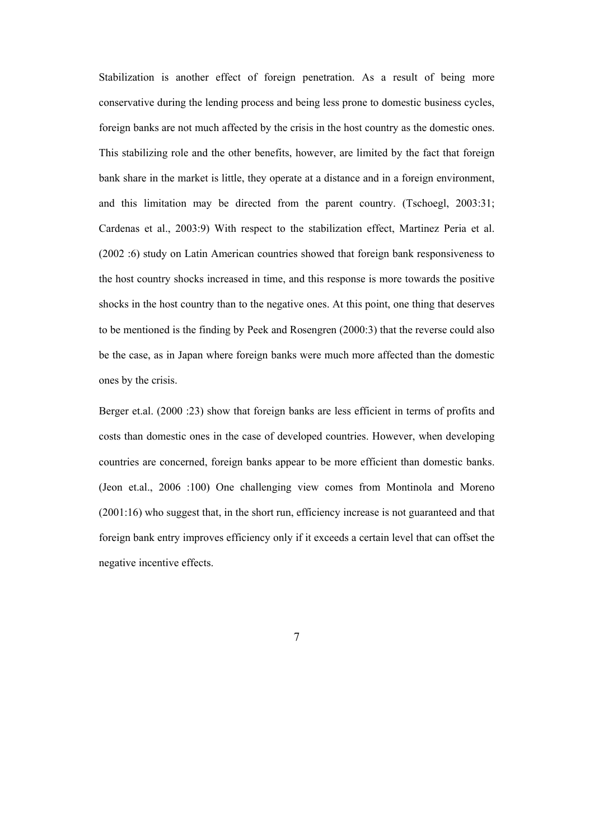Stabilization is another effect of foreign penetration. As a result of being more conservative during the lending process and being less prone to domestic business cycles, foreign banks are not much affected by the crisis in the host country as the domestic ones. This stabilizing role and the other benefits, however, are limited by the fact that foreign bank share in the market is little, they operate at a distance and in a foreign environment, and this limitation may be directed from the parent country. (Tschoegl, 2003:31; Cardenas et al., 2003:9) With respect to the stabilization effect, Martinez Peria et al. (2002 :6) study on Latin American countries showed that foreign bank responsiveness to the host country shocks increased in time, and this response is more towards the positive shocks in the host country than to the negative ones. At this point, one thing that deserves to be mentioned is the finding by Peek and Rosengren (2000:3) that the reverse could also be the case, as in Japan where foreign banks were much more affected than the domestic ones by the crisis.

Berger et.al. (2000 :23) show that foreign banks are less efficient in terms of profits and costs than domestic ones in the case of developed countries. However, when developing countries are concerned, foreign banks appear to be more efficient than domestic banks. (Jeon et.al., 2006 :100) One challenging view comes from Montinola and Moreno (2001:16) who suggest that, in the short run, efficiency increase is not guaranteed and that foreign bank entry improves efficiency only if it exceeds a certain level that can offset the negative incentive effects.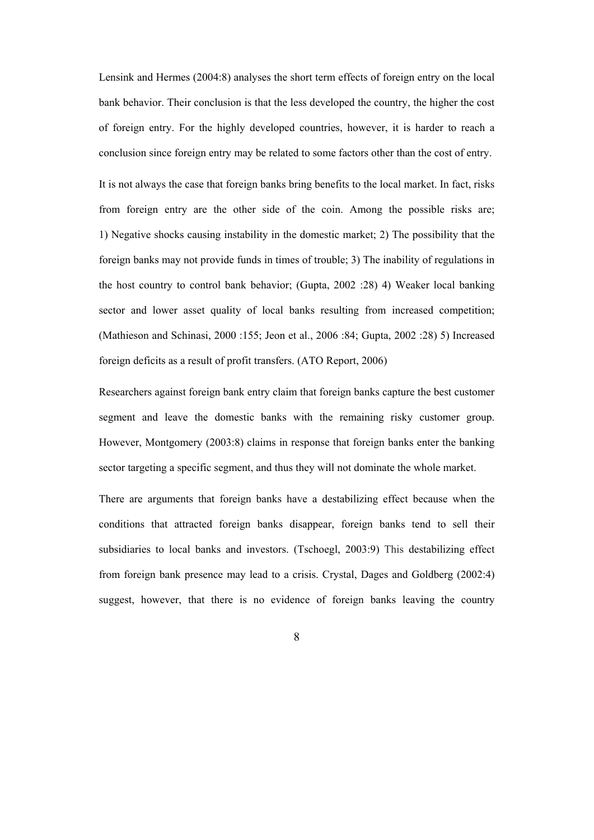Lensink and Hermes (2004:8) analyses the short term effects of foreign entry on the local bank behavior. Their conclusion is that the less developed the country, the higher the cost of foreign entry. For the highly developed countries, however, it is harder to reach a conclusion since foreign entry may be related to some factors other than the cost of entry.

It is not always the case that foreign banks bring benefits to the local market. In fact, risks from foreign entry are the other side of the coin. Among the possible risks are; 1) Negative shocks causing instability in the domestic market; 2) The possibility that the foreign banks may not provide funds in times of trouble; 3) The inability of regulations in the host country to control bank behavior; (Gupta, 2002 :28) 4) Weaker local banking sector and lower asset quality of local banks resulting from increased competition; (Mathieson and Schinasi, 2000 :155; Jeon et al., 2006 :84; Gupta, 2002 :28) 5) Increased foreign deficits as a result of profit transfers. (ATO Report, 2006)

Researchers against foreign bank entry claim that foreign banks capture the best customer segment and leave the domestic banks with the remaining risky customer group. However, Montgomery (2003:8) claims in response that foreign banks enter the banking sector targeting a specific segment, and thus they will not dominate the whole market.

There are arguments that foreign banks have a destabilizing effect because when the conditions that attracted foreign banks disappear, foreign banks tend to sell their subsidiaries to local banks and investors. (Tschoegl, 2003:9) This destabilizing effect from foreign bank presence may lead to a crisis. Crystal, Dages and Goldberg (2002:4) suggest, however, that there is no evidence of foreign banks leaving the country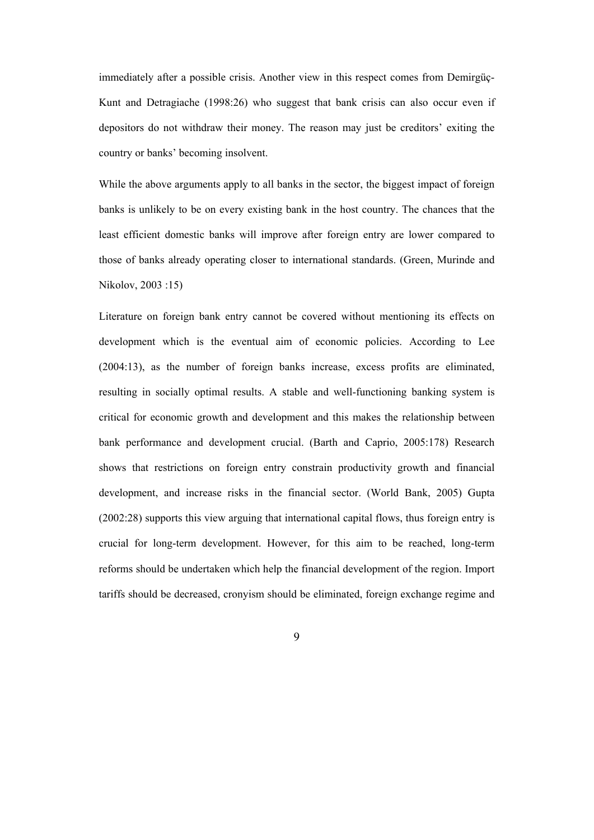immediately after a possible crisis. Another view in this respect comes from Demirgüç-Kunt and Detragiache (1998:26) who suggest that bank crisis can also occur even if depositors do not withdraw their money. The reason may just be creditors' exiting the country or banks' becoming insolvent.

While the above arguments apply to all banks in the sector, the biggest impact of foreign banks is unlikely to be on every existing bank in the host country. The chances that the least efficient domestic banks will improve after foreign entry are lower compared to those of banks already operating closer to international standards. (Green, Murinde and Nikolov, 2003 :15)

Literature on foreign bank entry cannot be covered without mentioning its effects on development which is the eventual aim of economic policies. According to Lee (2004:13), as the number of foreign banks increase, excess profits are eliminated, resulting in socially optimal results. A stable and well-functioning banking system is critical for economic growth and development and this makes the relationship between bank performance and development crucial. (Barth and Caprio, 2005:178) Research shows that restrictions on foreign entry constrain productivity growth and financial development, and increase risks in the financial sector. (World Bank, 2005) Gupta (2002:28) supports this view arguing that international capital flows, thus foreign entry is crucial for long-term development. However, for this aim to be reached, long-term reforms should be undertaken which help the financial development of the region. Import tariffs should be decreased, cronyism should be eliminated, foreign exchange regime and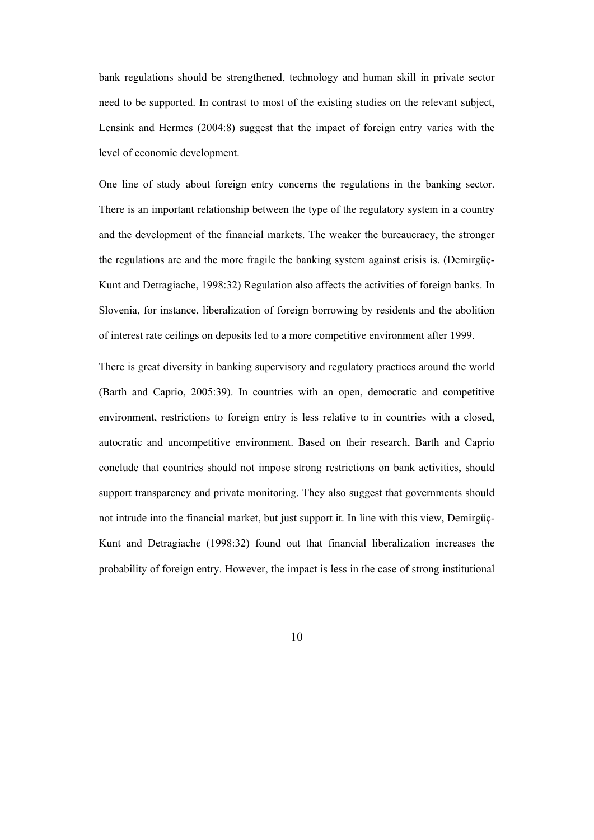bank regulations should be strengthened, technology and human skill in private sector need to be supported. In contrast to most of the existing studies on the relevant subject, Lensink and Hermes (2004:8) suggest that the impact of foreign entry varies with the level of economic development.

One line of study about foreign entry concerns the regulations in the banking sector. There is an important relationship between the type of the regulatory system in a country and the development of the financial markets. The weaker the bureaucracy, the stronger the regulations are and the more fragile the banking system against crisis is. (Demirgüç-Kunt and Detragiache, 1998:32) Regulation also affects the activities of foreign banks. In Slovenia, for instance, liberalization of foreign borrowing by residents and the abolition of interest rate ceilings on deposits led to a more competitive environment after 1999.

There is great diversity in banking supervisory and regulatory practices around the world (Barth and Caprio, 2005:39). In countries with an open, democratic and competitive environment, restrictions to foreign entry is less relative to in countries with a closed, autocratic and uncompetitive environment. Based on their research, Barth and Caprio conclude that countries should not impose strong restrictions on bank activities, should support transparency and private monitoring. They also suggest that governments should not intrude into the financial market, but just support it. In line with this view, Demirgüç-Kunt and Detragiache (1998:32) found out that financial liberalization increases the probability of foreign entry. However, the impact is less in the case of strong institutional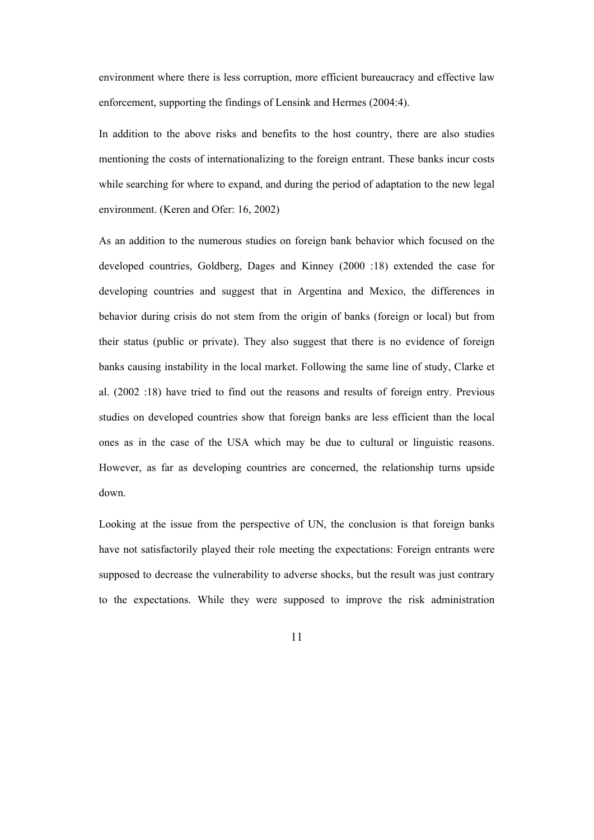environment where there is less corruption, more efficient bureaucracy and effective law enforcement, supporting the findings of Lensink and Hermes (2004:4).

In addition to the above risks and benefits to the host country, there are also studies mentioning the costs of internationalizing to the foreign entrant. These banks incur costs while searching for where to expand, and during the period of adaptation to the new legal environment. (Keren and Ofer: 16, 2002)

As an addition to the numerous studies on foreign bank behavior which focused on the developed countries, Goldberg, Dages and Kinney (2000 :18) extended the case for developing countries and suggest that in Argentina and Mexico, the differences in behavior during crisis do not stem from the origin of banks (foreign or local) but from their status (public or private). They also suggest that there is no evidence of foreign banks causing instability in the local market. Following the same line of study, Clarke et al. (2002 :18) have tried to find out the reasons and results of foreign entry. Previous studies on developed countries show that foreign banks are less efficient than the local ones as in the case of the USA which may be due to cultural or linguistic reasons. However, as far as developing countries are concerned, the relationship turns upside down.

Looking at the issue from the perspective of UN, the conclusion is that foreign banks have not satisfactorily played their role meeting the expectations: Foreign entrants were supposed to decrease the vulnerability to adverse shocks, but the result was just contrary to the expectations. While they were supposed to improve the risk administration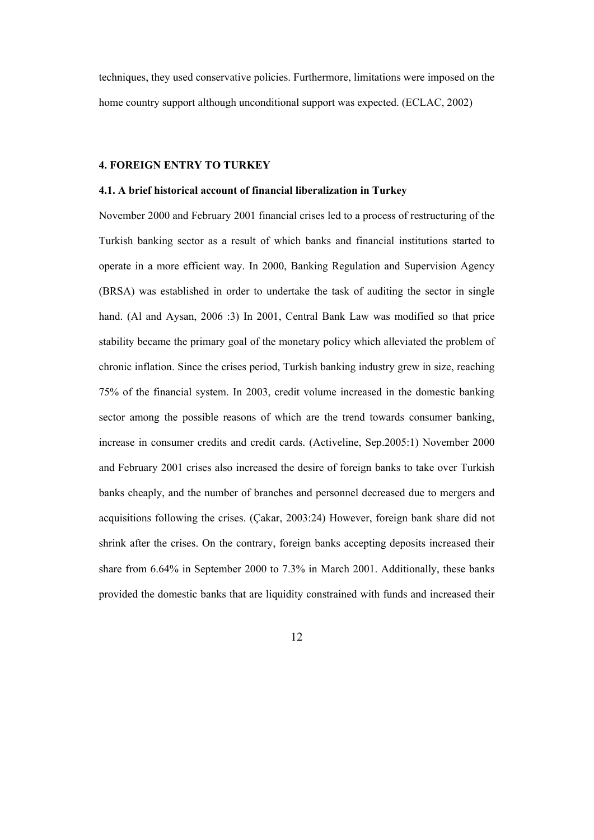techniques, they used conservative policies. Furthermore, limitations were imposed on the home country support although unconditional support was expected. (ECLAC, 2002)

### **4. FOREIGN ENTRY TO TURKEY**

## **4.1. A brief historical account of financial liberalization in Turkey**

November 2000 and February 2001 financial crises led to a process of restructuring of the Turkish banking sector as a result of which banks and financial institutions started to operate in a more efficient way. In 2000, Banking Regulation and Supervision Agency (BRSA) was established in order to undertake the task of auditing the sector in single hand. (Al and Aysan, 2006 :3) In 2001, Central Bank Law was modified so that price stability became the primary goal of the monetary policy which alleviated the problem of chronic inflation. Since the crises period, Turkish banking industry grew in size, reaching 75% of the financial system. In 2003, credit volume increased in the domestic banking sector among the possible reasons of which are the trend towards consumer banking, increase in consumer credits and credit cards. (Activeline, Sep.2005:1) November 2000 and February 2001 crises also increased the desire of foreign banks to take over Turkish banks cheaply, and the number of branches and personnel decreased due to mergers and acquisitions following the crises. (Çakar, 2003:24) However, foreign bank share did not shrink after the crises. On the contrary, foreign banks accepting deposits increased their share from 6.64% in September 2000 to 7.3% in March 2001. Additionally, these banks provided the domestic banks that are liquidity constrained with funds and increased their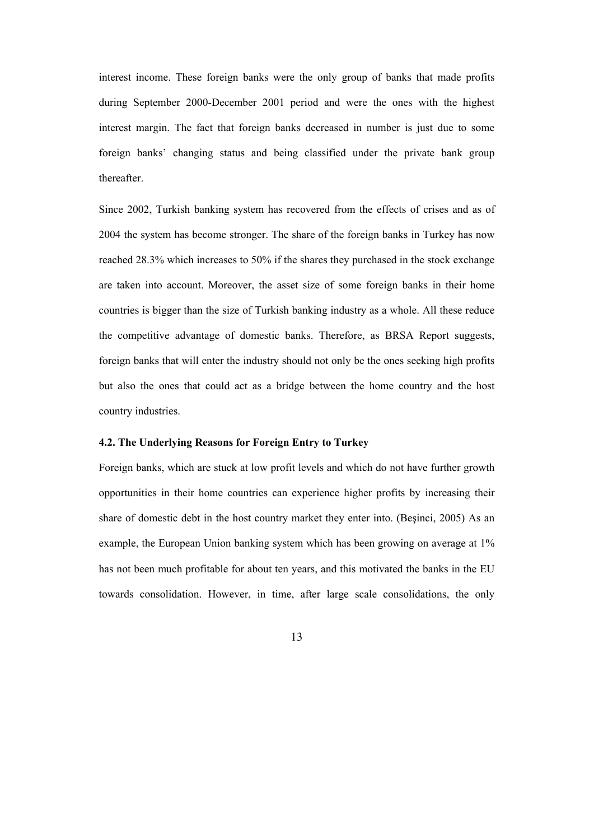interest income. These foreign banks were the only group of banks that made profits during September 2000-December 2001 period and were the ones with the highest interest margin. The fact that foreign banks decreased in number is just due to some foreign banks' changing status and being classified under the private bank group thereafter.

Since 2002, Turkish banking system has recovered from the effects of crises and as of 2004 the system has become stronger. The share of the foreign banks in Turkey has now reached 28.3% which increases to 50% if the shares they purchased in the stock exchange are taken into account. Moreover, the asset size of some foreign banks in their home countries is bigger than the size of Turkish banking industry as a whole. All these reduce the competitive advantage of domestic banks. Therefore, as BRSA Report suggests, foreign banks that will enter the industry should not only be the ones seeking high profits but also the ones that could act as a bridge between the home country and the host country industries.

## **4.2. The Underlying Reasons for Foreign Entry to Turkey**

Foreign banks, which are stuck at low profit levels and which do not have further growth opportunities in their home countries can experience higher profits by increasing their share of domestic debt in the host country market they enter into. (Beşinci, 2005) As an example, the European Union banking system which has been growing on average at 1% has not been much profitable for about ten years, and this motivated the banks in the EU towards consolidation. However, in time, after large scale consolidations, the only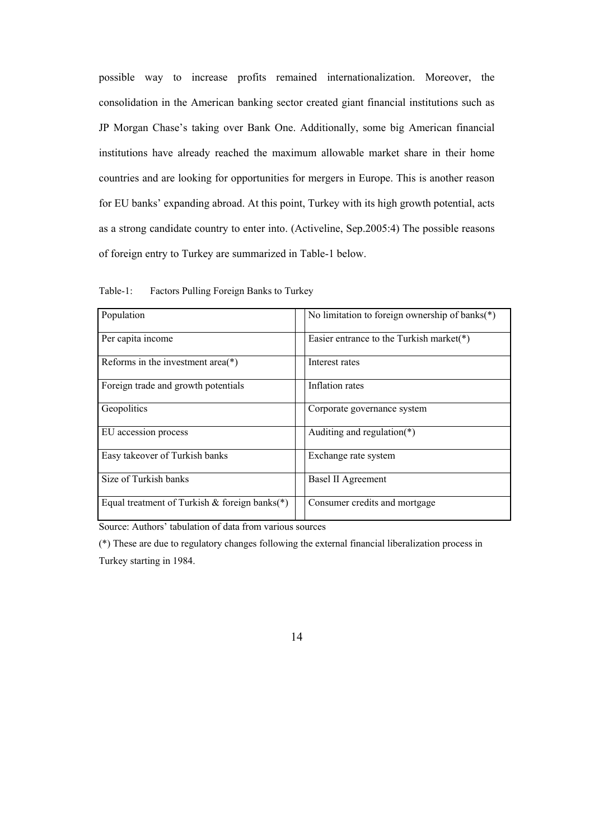possible way to increase profits remained internationalization. Moreover, the consolidation in the American banking sector created giant financial institutions such as JP Morgan Chase's taking over Bank One. Additionally, some big American financial institutions have already reached the maximum allowable market share in their home countries and are looking for opportunities for mergers in Europe. This is another reason for EU banks' expanding abroad. At this point, Turkey with its high growth potential, acts as a strong candidate country to enter into. (Activeline, Sep.2005:4) The possible reasons of foreign entry to Turkey are summarized in Table-1 below.

| Population                                    | No limitation to foreign ownership of banks( $*$ ) |  |  |  |
|-----------------------------------------------|----------------------------------------------------|--|--|--|
| Per capita income                             | Easier entrance to the Turkish market( $*)$        |  |  |  |
| Reforms in the investment area( $*$ )         | Interest rates                                     |  |  |  |
| Foreign trade and growth potentials           | Inflation rates                                    |  |  |  |
| Geopolitics                                   | Corporate governance system                        |  |  |  |
| EU accession process                          | Auditing and regulation( $*$ )                     |  |  |  |
| Easy takeover of Turkish banks                | Exchange rate system                               |  |  |  |
| Size of Turkish banks                         | Basel II Agreement                                 |  |  |  |
| Equal treatment of Turkish & foreign banks(*) | Consumer credits and mortgage                      |  |  |  |

Table-1: Factors Pulling Foreign Banks to Turkey

Source: Authors' tabulation of data from various sources

(\*) These are due to regulatory changes following the external financial liberalization process in Turkey starting in 1984.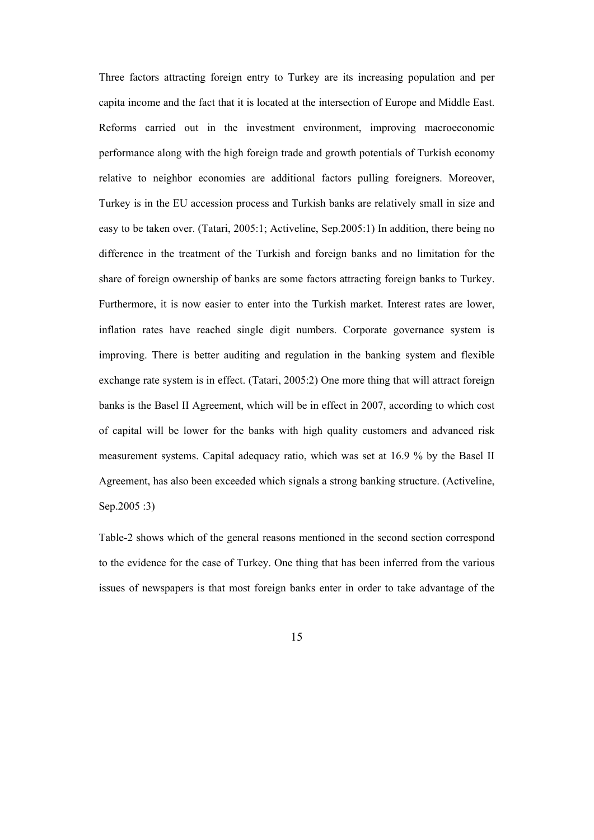Three factors attracting foreign entry to Turkey are its increasing population and per capita income and the fact that it is located at the intersection of Europe and Middle East. Reforms carried out in the investment environment, improving macroeconomic performance along with the high foreign trade and growth potentials of Turkish economy relative to neighbor economies are additional factors pulling foreigners. Moreover, Turkey is in the EU accession process and Turkish banks are relatively small in size and easy to be taken over. (Tatari, 2005:1; Activeline, Sep.2005:1) In addition, there being no difference in the treatment of the Turkish and foreign banks and no limitation for the share of foreign ownership of banks are some factors attracting foreign banks to Turkey. Furthermore, it is now easier to enter into the Turkish market. Interest rates are lower, inflation rates have reached single digit numbers. Corporate governance system is improving. There is better auditing and regulation in the banking system and flexible exchange rate system is in effect. (Tatari, 2005:2) One more thing that will attract foreign banks is the Basel II Agreement, which will be in effect in 2007, according to which cost of capital will be lower for the banks with high quality customers and advanced risk measurement systems. Capital adequacy ratio, which was set at 16.9 % by the Basel II Agreement, has also been exceeded which signals a strong banking structure. (Activeline, Sep.2005 :3)

Table-2 shows which of the general reasons mentioned in the second section correspond to the evidence for the case of Turkey. One thing that has been inferred from the various issues of newspapers is that most foreign banks enter in order to take advantage of the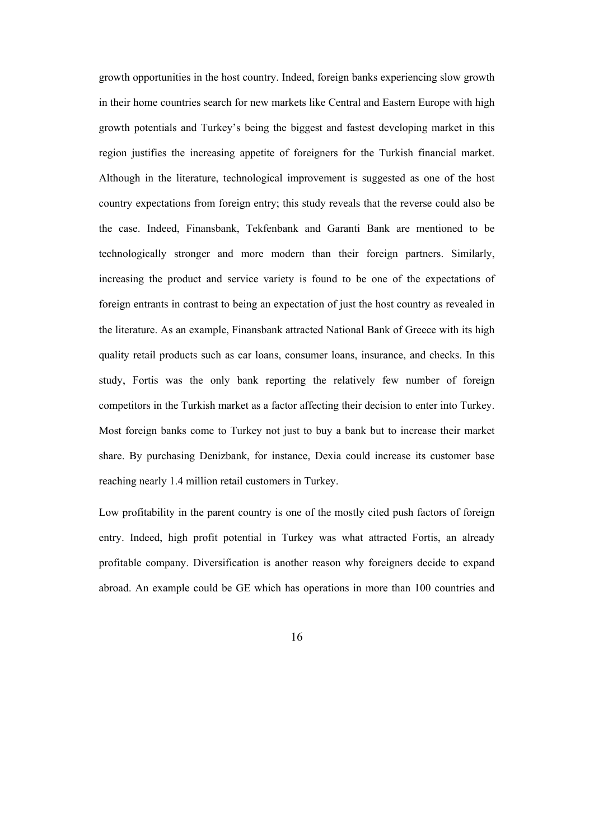growth opportunities in the host country. Indeed, foreign banks experiencing slow growth in their home countries search for new markets like Central and Eastern Europe with high growth potentials and Turkey's being the biggest and fastest developing market in this region justifies the increasing appetite of foreigners for the Turkish financial market. Although in the literature, technological improvement is suggested as one of the host country expectations from foreign entry; this study reveals that the reverse could also be the case. Indeed, Finansbank, Tekfenbank and Garanti Bank are mentioned to be technologically stronger and more modern than their foreign partners. Similarly, increasing the product and service variety is found to be one of the expectations of foreign entrants in contrast to being an expectation of just the host country as revealed in the literature. As an example, Finansbank attracted National Bank of Greece with its high quality retail products such as car loans, consumer loans, insurance, and checks. In this study, Fortis was the only bank reporting the relatively few number of foreign competitors in the Turkish market as a factor affecting their decision to enter into Turkey. Most foreign banks come to Turkey not just to buy a bank but to increase their market share. By purchasing Denizbank, for instance, Dexia could increase its customer base reaching nearly 1.4 million retail customers in Turkey.

Low profitability in the parent country is one of the mostly cited push factors of foreign entry. Indeed, high profit potential in Turkey was what attracted Fortis, an already profitable company. Diversification is another reason why foreigners decide to expand abroad. An example could be GE which has operations in more than 100 countries and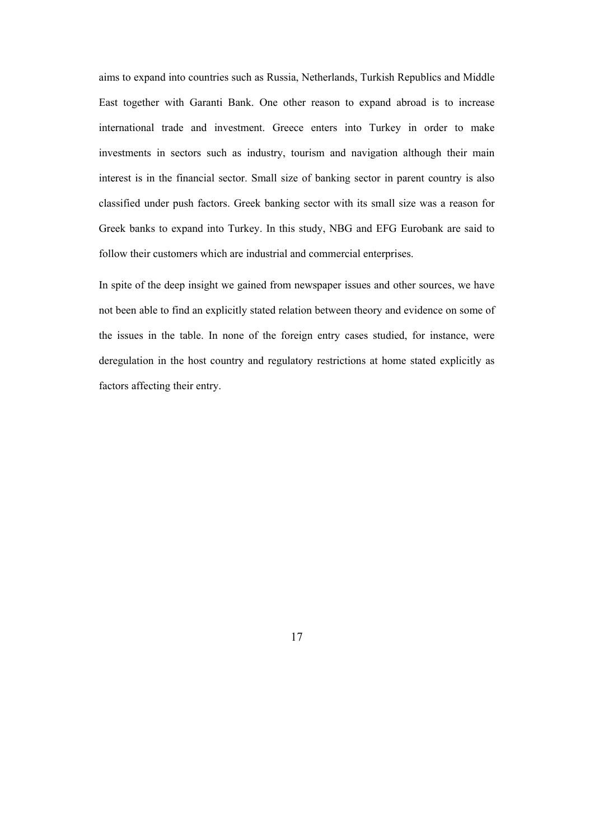aims to expand into countries such as Russia, Netherlands, Turkish Republics and Middle East together with Garanti Bank. One other reason to expand abroad is to increase international trade and investment. Greece enters into Turkey in order to make investments in sectors such as industry, tourism and navigation although their main interest is in the financial sector. Small size of banking sector in parent country is also classified under push factors. Greek banking sector with its small size was a reason for Greek banks to expand into Turkey. In this study, NBG and EFG Eurobank are said to follow their customers which are industrial and commercial enterprises.

In spite of the deep insight we gained from newspaper issues and other sources, we have not been able to find an explicitly stated relation between theory and evidence on some of the issues in the table. In none of the foreign entry cases studied, for instance, were deregulation in the host country and regulatory restrictions at home stated explicitly as factors affecting their entry.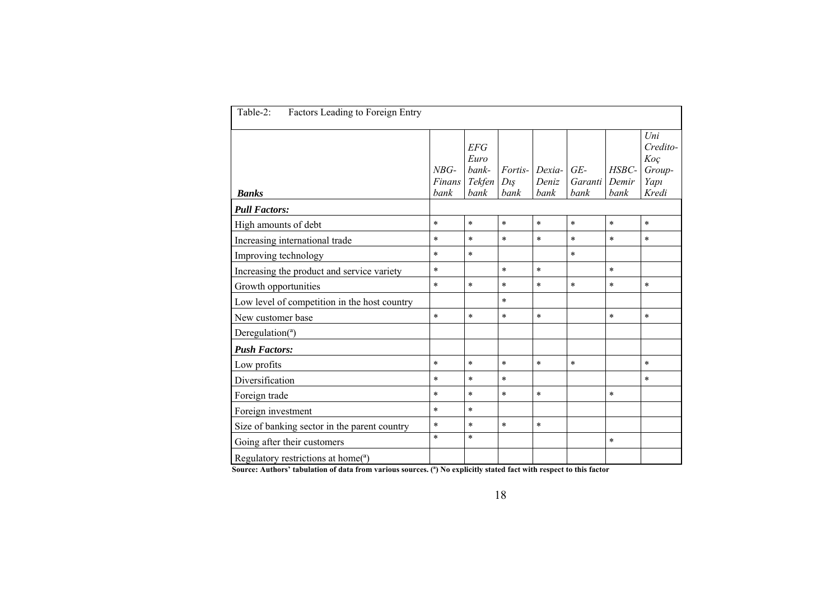| Table-2:<br>Factors Leading to Foreign Entry |                          |                                        |                            |                         |                          |                        |                                                        |  |  |
|----------------------------------------------|--------------------------|----------------------------------------|----------------------------|-------------------------|--------------------------|------------------------|--------------------------------------------------------|--|--|
| <b>Banks</b>                                 | $NBG-$<br>Finans<br>bank | EFG<br>Euro<br>bank-<br>Tekfen<br>bank | Fortis-<br>$D_{l}$<br>bank | Dexia-<br>Deniz<br>bank | $GE-$<br>Garanti<br>bank | HSBC-<br>Demir<br>bank | $_{Uni}$<br>Credito-<br>Koç<br>Group-<br>Yapı<br>Kredi |  |  |
| <b>Pull Factors:</b>                         |                          |                                        |                            |                         |                          |                        |                                                        |  |  |
| High amounts of debt                         | $\ast$                   | $\ast$                                 | $\ast$                     | $\ast$                  | $\ast$                   | $\ast$                 | $\ast$                                                 |  |  |
| Increasing international trade               | $\ast$                   | $\ast$                                 | $\ast$                     | $\ast$                  | $\star$                  | $\ast$                 | $\ast$                                                 |  |  |
| Improving technology                         | $\ast$                   | $\ast$                                 |                            |                         | $\ast$                   |                        |                                                        |  |  |
| Increasing the product and service variety   | $\ast$                   |                                        | $\ast$                     | $\ast$                  |                          | $\ast$                 |                                                        |  |  |
| Growth opportunities                         | $\ast$                   | $\ast$                                 | $\ast$                     | $\ast$                  | $\ast$                   | $\ast$                 | $\ast$                                                 |  |  |
| Low level of competition in the host country |                          |                                        | $\ast$                     |                         |                          |                        |                                                        |  |  |
| New customer base                            | $\ast$                   | $\ast$                                 | $\ast$                     | $\ast$                  |                          | $\ast$                 | $\ast$                                                 |  |  |
| Deregulation(a)                              |                          |                                        |                            |                         |                          |                        |                                                        |  |  |
| <b>Push Factors:</b>                         |                          |                                        |                            |                         |                          |                        |                                                        |  |  |
| Low profits                                  | $\ast$                   | $\ast$                                 | $\ast$                     | $\ast$                  | $\ast$                   |                        | $\ast$                                                 |  |  |
| Diversification                              | $\ast$                   | $\ast$                                 | $\ast$                     |                         |                          |                        | $\ast$                                                 |  |  |
| Foreign trade                                | $\ast$                   | $\ast$                                 | $\ast$                     | $\ast$                  |                          | $\ast$                 |                                                        |  |  |
| Foreign investment                           | $\ast$                   | $\ast$                                 |                            |                         |                          |                        |                                                        |  |  |
| Size of banking sector in the parent country | $\ast$                   | $\ast$                                 | $\ast$                     | $\ast$                  |                          |                        |                                                        |  |  |
| Going after their customers                  | $\star$                  | $\ast$                                 |                            |                         |                          | $\ast$                 |                                                        |  |  |
| Regulatory restrictions at home( $a$ )       |                          |                                        |                            |                         |                          |                        |                                                        |  |  |

**Source: Authors' tabulation of data from various sources. (ª) No explicitly stated fact with respect to this factor**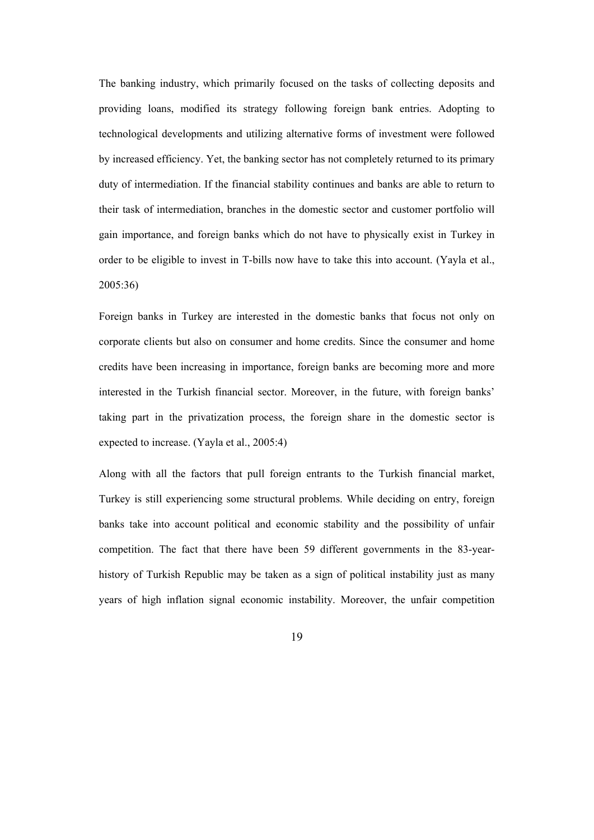The banking industry, which primarily focused on the tasks of collecting deposits and providing loans, modified its strategy following foreign bank entries. Adopting to technological developments and utilizing alternative forms of investment were followed by increased efficiency. Yet, the banking sector has not completely returned to its primary duty of intermediation. If the financial stability continues and banks are able to return to their task of intermediation, branches in the domestic sector and customer portfolio will gain importance, and foreign banks which do not have to physically exist in Turkey in order to be eligible to invest in T-bills now have to take this into account. (Yayla et al., 2005:36)

Foreign banks in Turkey are interested in the domestic banks that focus not only on corporate clients but also on consumer and home credits. Since the consumer and home credits have been increasing in importance, foreign banks are becoming more and more interested in the Turkish financial sector. Moreover, in the future, with foreign banks' taking part in the privatization process, the foreign share in the domestic sector is expected to increase. (Yayla et al., 2005:4)

Along with all the factors that pull foreign entrants to the Turkish financial market, Turkey is still experiencing some structural problems. While deciding on entry, foreign banks take into account political and economic stability and the possibility of unfair competition. The fact that there have been 59 different governments in the 83-yearhistory of Turkish Republic may be taken as a sign of political instability just as many years of high inflation signal economic instability. Moreover, the unfair competition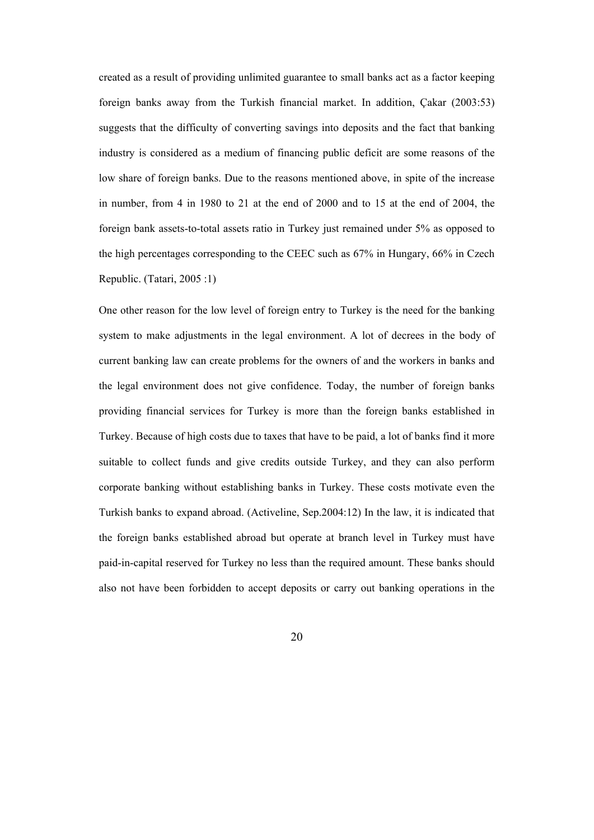created as a result of providing unlimited guarantee to small banks act as a factor keeping foreign banks away from the Turkish financial market. In addition, Çakar (2003:53) suggests that the difficulty of converting savings into deposits and the fact that banking industry is considered as a medium of financing public deficit are some reasons of the low share of foreign banks. Due to the reasons mentioned above, in spite of the increase in number, from 4 in 1980 to 21 at the end of 2000 and to 15 at the end of 2004, the foreign bank assets-to-total assets ratio in Turkey just remained under 5% as opposed to the high percentages corresponding to the CEEC such as 67% in Hungary, 66% in Czech Republic. (Tatari, 2005 :1)

One other reason for the low level of foreign entry to Turkey is the need for the banking system to make adjustments in the legal environment. A lot of decrees in the body of current banking law can create problems for the owners of and the workers in banks and the legal environment does not give confidence. Today, the number of foreign banks providing financial services for Turkey is more than the foreign banks established in Turkey. Because of high costs due to taxes that have to be paid, a lot of banks find it more suitable to collect funds and give credits outside Turkey, and they can also perform corporate banking without establishing banks in Turkey. These costs motivate even the Turkish banks to expand abroad. (Activeline, Sep.2004:12) In the law, it is indicated that the foreign banks established abroad but operate at branch level in Turkey must have paid-in-capital reserved for Turkey no less than the required amount. These banks should also not have been forbidden to accept deposits or carry out banking operations in the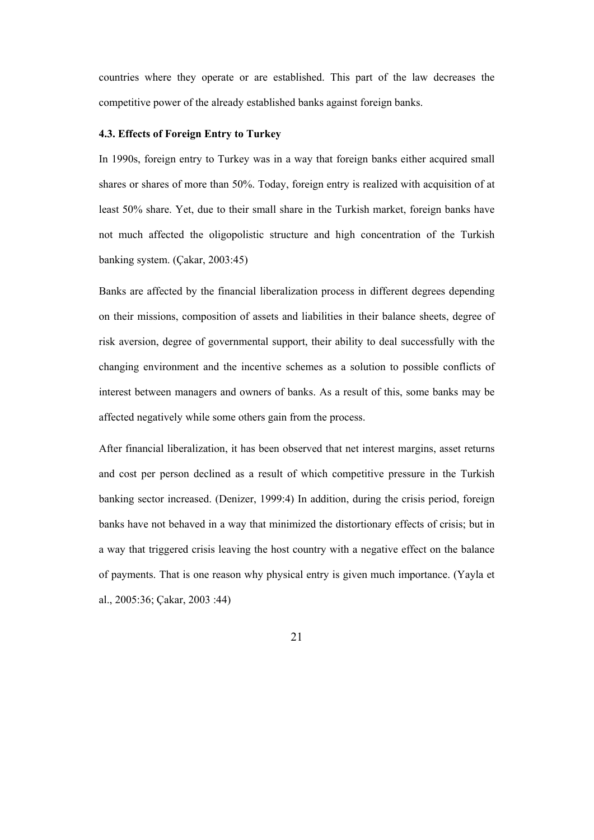countries where they operate or are established. This part of the law decreases the competitive power of the already established banks against foreign banks.

### **4.3. Effects of Foreign Entry to Turkey**

In 1990s, foreign entry to Turkey was in a way that foreign banks either acquired small shares or shares of more than 50%. Today, foreign entry is realized with acquisition of at least 50% share. Yet, due to their small share in the Turkish market, foreign banks have not much affected the oligopolistic structure and high concentration of the Turkish banking system. (Çakar, 2003:45)

Banks are affected by the financial liberalization process in different degrees depending on their missions, composition of assets and liabilities in their balance sheets, degree of risk aversion, degree of governmental support, their ability to deal successfully with the changing environment and the incentive schemes as a solution to possible conflicts of interest between managers and owners of banks. As a result of this, some banks may be affected negatively while some others gain from the process.

After financial liberalization, it has been observed that net interest margins, asset returns and cost per person declined as a result of which competitive pressure in the Turkish banking sector increased. (Denizer, 1999:4) In addition, during the crisis period, foreign banks have not behaved in a way that minimized the distortionary effects of crisis; but in a way that triggered crisis leaving the host country with a negative effect on the balance of payments. That is one reason why physical entry is given much importance. (Yayla et al., 2005:36; Çakar, 2003 :44)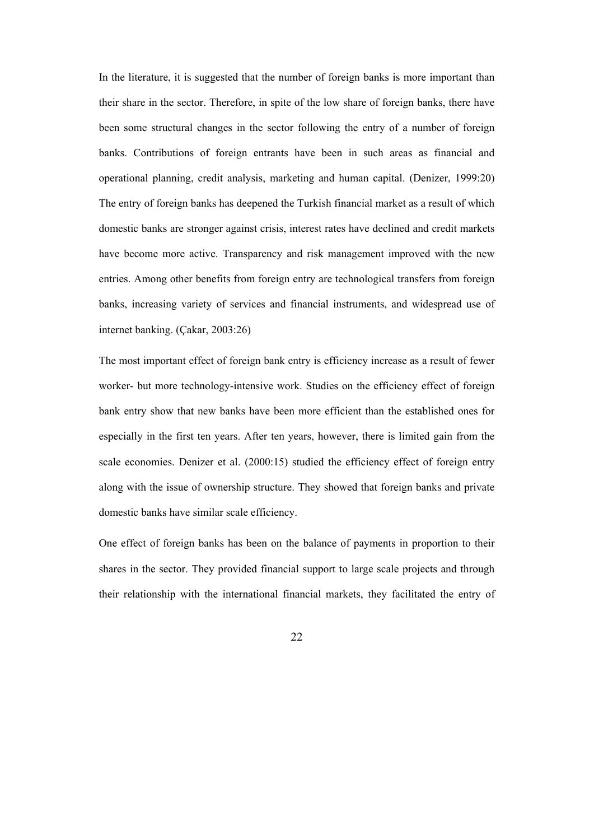In the literature, it is suggested that the number of foreign banks is more important than their share in the sector. Therefore, in spite of the low share of foreign banks, there have been some structural changes in the sector following the entry of a number of foreign banks. Contributions of foreign entrants have been in such areas as financial and operational planning, credit analysis, marketing and human capital. (Denizer, 1999:20) The entry of foreign banks has deepened the Turkish financial market as a result of which domestic banks are stronger against crisis, interest rates have declined and credit markets have become more active. Transparency and risk management improved with the new entries. Among other benefits from foreign entry are technological transfers from foreign banks, increasing variety of services and financial instruments, and widespread use of internet banking. (Çakar, 2003:26)

The most important effect of foreign bank entry is efficiency increase as a result of fewer worker- but more technology-intensive work. Studies on the efficiency effect of foreign bank entry show that new banks have been more efficient than the established ones for especially in the first ten years. After ten years, however, there is limited gain from the scale economies. Denizer et al. (2000:15) studied the efficiency effect of foreign entry along with the issue of ownership structure. They showed that foreign banks and private domestic banks have similar scale efficiency.

One effect of foreign banks has been on the balance of payments in proportion to their shares in the sector. They provided financial support to large scale projects and through their relationship with the international financial markets, they facilitated the entry of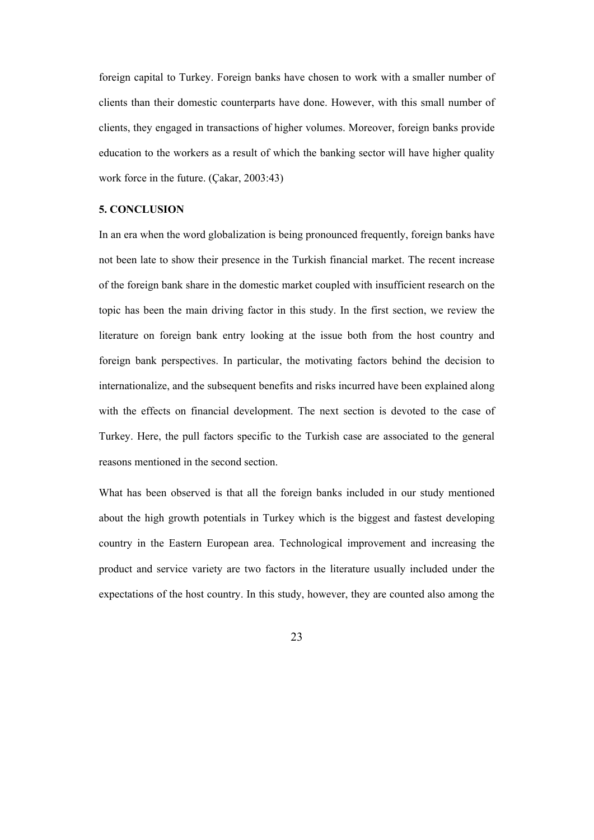foreign capital to Turkey. Foreign banks have chosen to work with a smaller number of clients than their domestic counterparts have done. However, with this small number of clients, they engaged in transactions of higher volumes. Moreover, foreign banks provide education to the workers as a result of which the banking sector will have higher quality work force in the future. (Çakar, 2003:43)

### **5. CONCLUSION**

In an era when the word globalization is being pronounced frequently, foreign banks have not been late to show their presence in the Turkish financial market. The recent increase of the foreign bank share in the domestic market coupled with insufficient research on the topic has been the main driving factor in this study. In the first section, we review the literature on foreign bank entry looking at the issue both from the host country and foreign bank perspectives. In particular, the motivating factors behind the decision to internationalize, and the subsequent benefits and risks incurred have been explained along with the effects on financial development. The next section is devoted to the case of Turkey. Here, the pull factors specific to the Turkish case are associated to the general reasons mentioned in the second section.

What has been observed is that all the foreign banks included in our study mentioned about the high growth potentials in Turkey which is the biggest and fastest developing country in the Eastern European area. Technological improvement and increasing the product and service variety are two factors in the literature usually included under the expectations of the host country. In this study, however, they are counted also among the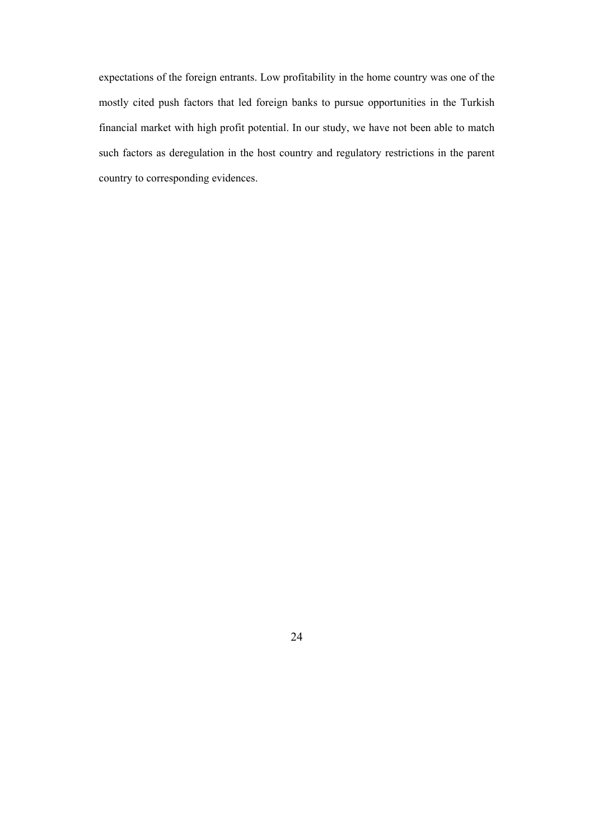expectations of the foreign entrants. Low profitability in the home country was one of the mostly cited push factors that led foreign banks to pursue opportunities in the Turkish financial market with high profit potential. In our study, we have not been able to match such factors as deregulation in the host country and regulatory restrictions in the parent country to corresponding evidences.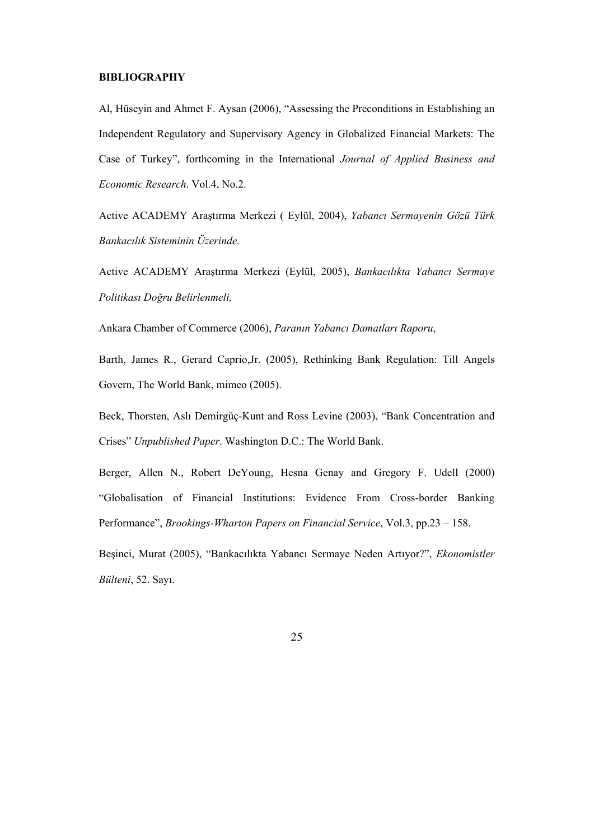# **BIBLIOGRAPHY**

Al, Hüseyin and Ahmet F. Aysan (2006), "Assessing the Preconditions in Establishing an Independent Regulatory and Supervisory Agency in Globalized Financial Markets: The Case of Turkey", forthcoming in the International *Journal of Applied Business and Economic Research*. Vol.4, No.2.

Active ACADEMY Araştırma Merkezi ( Eylül, 2004), *Yabancı Sermayenin Gözü Türk Bankacılık Sisteminin Üzerinde.* 

Active ACADEMY Araştırma Merkezi (Eylül, 2005), *Bankacılıkta Yabancı Sermaye Politikası Doğru Belirlenmeli,* 

Ankara Chamber of Commerce (2006), *Paranın Yabancı Damatları Raporu*,

Barth, James R., Gerard Caprio,Jr. (2005), Rethinking Bank Regulation: Till Angels Govern, The World Bank, mimeo (2005).

Beck, Thorsten, Aslı Demirgüç-Kunt and Ross Levine (2003), "Bank Concentration and Crises" *Unpublished Paper*. Washington D.C.: The World Bank.

Berger, Allen N., Robert DeYoung, Hesna Genay and Gregory F. Udell (2000) "Globalisation of Financial Institutions: Evidence From Cross-border Banking Performance", *Brookings-Wharton Papers on Financial Service*, Vol.3, pp.23 – 158.

Beşinci, Murat (2005), "Bankacılıkta Yabancı Sermaye Neden Artıyor?", *Ekonomistler Bülteni*, 52. Sayı.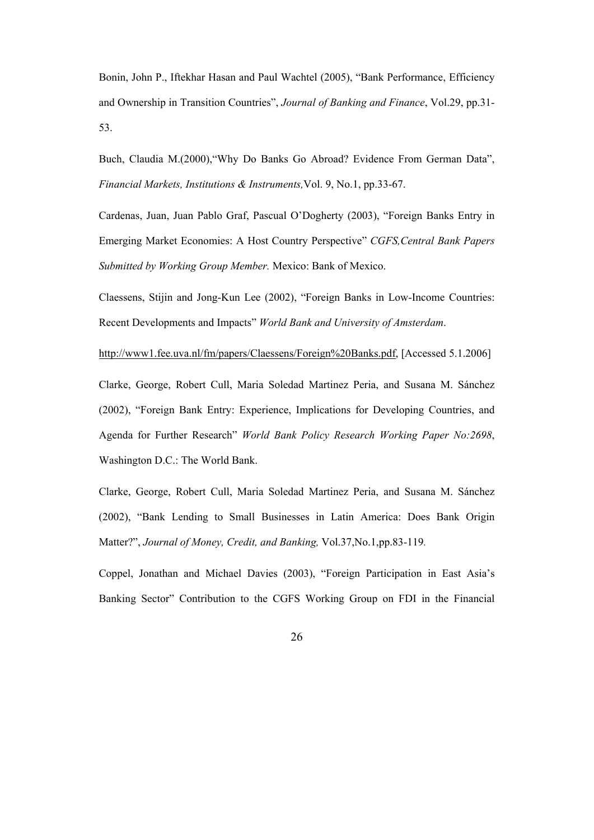Bonin, John P., Iftekhar Hasan and Paul Wachtel (2005), "Bank Performance, Efficiency and Ownership in Transition Countries", *Journal of Banking and Finance*, Vol.29, pp.31- 53.

Buch, Claudia M.(2000),"Why Do Banks Go Abroad? Evidence From German Data", *Financial Markets, Institutions & Instruments,*Vol. 9, No.1, pp.33-67.

Cardenas, Juan, Juan Pablo Graf, Pascual O'Dogherty (2003), "Foreign Banks Entry in Emerging Market Economies: A Host Country Perspective" *CGFS,Central Bank Papers Submitted by Working Group Member.* Mexico: Bank of Mexico.

Claessens, Stijin and Jong-Kun Lee (2002), "Foreign Banks in Low-Income Countries: Recent Developments and Impacts" *World Bank and University of Amsterdam*.

http://www1.fee.uva.nl/fm/papers/Claessens/Foreign%20Banks.pdf, [Accessed 5.1.2006]

Clarke, George, Robert Cull, Maria Soledad Martinez Peria, and Susana M. Sánchez (2002), "Foreign Bank Entry: Experience, Implications for Developing Countries, and Agenda for Further Research" *World Bank Policy Research Working Paper No:2698*, Washington D.C.: The World Bank.

Clarke, George, Robert Cull, Maria Soledad Martinez Peria, and Susana M. Sánchez (2002), "Bank Lending to Small Businesses in Latin America: Does Bank Origin Matter?", *Journal of Money, Credit, and Banking,* Vol.37,No.1,pp.83-119*.* 

Coppel, Jonathan and Michael Davies (2003), "Foreign Participation in East Asia's Banking Sector" Contribution to the CGFS Working Group on FDI in the Financial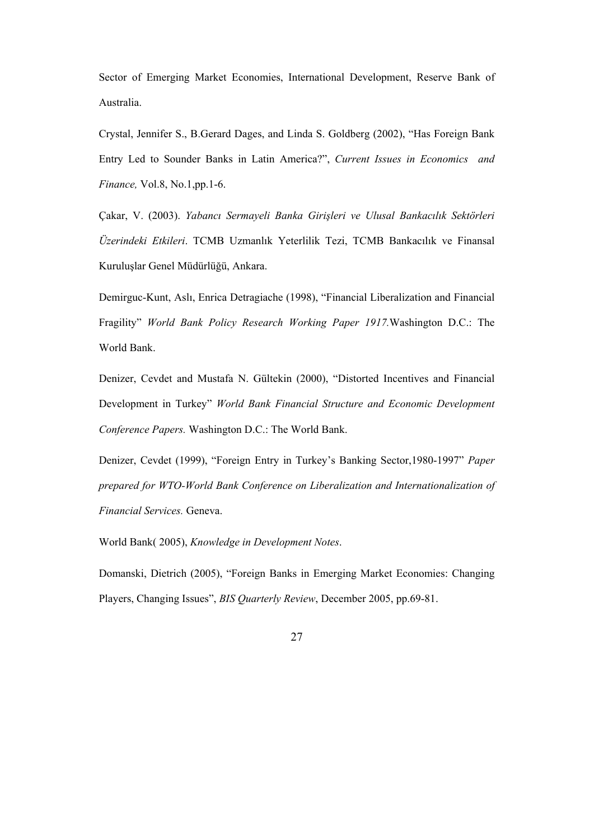Sector of Emerging Market Economies, International Development, Reserve Bank of Australia.

Crystal, Jennifer S., B.Gerard Dages, and Linda S. Goldberg (2002), "Has Foreign Bank Entry Led to Sounder Banks in Latin America?", *Current Issues in Economics and Finance,* Vol.8, No.1,pp.1-6.

Çakar, V. (2003). *Yabancı Sermayeli Banka Girişleri ve Ulusal Bankacılık Sektörleri Üzerindeki Etkileri*. TCMB Uzmanlık Yeterlilik Tezi, TCMB Bankacılık ve Finansal Kuruluşlar Genel Müdürlüğü, Ankara.

Demirguc-Kunt, Aslı, Enrica Detragiache (1998), "Financial Liberalization and Financial Fragility" *World Bank Policy Research Working Paper 1917.*Washington D.C.: The World Bank.

Denizer, Cevdet and Mustafa N. Gültekin (2000), "Distorted Incentives and Financial Development in Turkey" *World Bank Financial Structure and Economic Development Conference Papers.* Washington D.C.: The World Bank.

Denizer, Cevdet (1999), "Foreign Entry in Turkey's Banking Sector,1980-1997" *Paper prepared for WTO-World Bank Conference on Liberalization and Internationalization of Financial Services.* Geneva.

World Bank( 2005), *Knowledge in Development Notes*.

Domanski, Dietrich (2005), "Foreign Banks in Emerging Market Economies: Changing Players, Changing Issues", *BIS Quarterly Review*, December 2005, pp.69-81.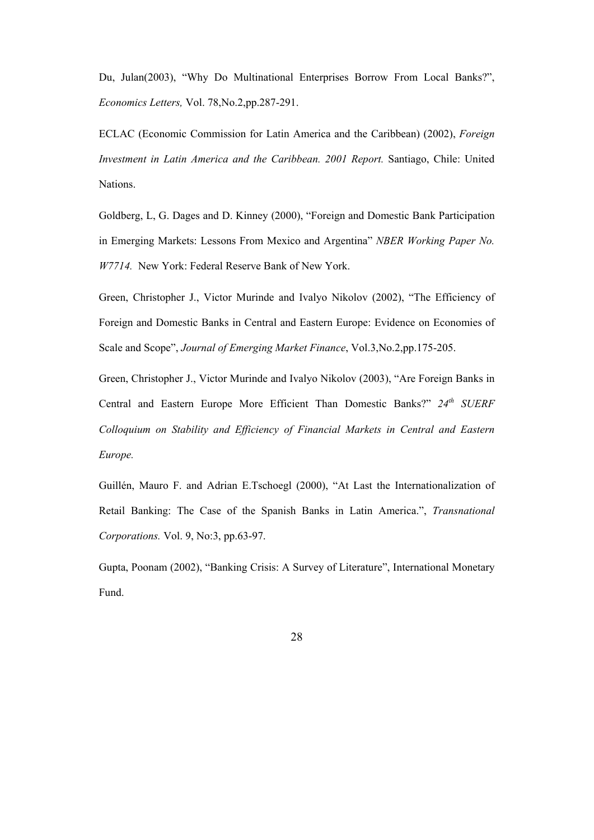Du, Julan(2003), "Why Do Multinational Enterprises Borrow From Local Banks?", *Economics Letters,* Vol. 78,No.2,pp.287-291.

ECLAC (Economic Commission for Latin America and the Caribbean) (2002), *Foreign Investment in Latin America and the Caribbean. 2001 Report.* Santiago, Chile: United Nations.

Goldberg, L, G. Dages and D. Kinney (2000), "Foreign and Domestic Bank Participation in Emerging Markets: Lessons From Mexico and Argentina" *NBER Working Paper No. W7714.* New York: Federal Reserve Bank of New York.

Green, Christopher J., Victor Murinde and Ivalyo Nikolov (2002), "The Efficiency of Foreign and Domestic Banks in Central and Eastern Europe: Evidence on Economies of Scale and Scope", *Journal of Emerging Market Finance*, Vol.3,No.2,pp.175-205.

Green, Christopher J., Victor Murinde and Ivalyo Nikolov (2003), "Are Foreign Banks in Central and Eastern Europe More Efficient Than Domestic Banks?" *24th SUERF Colloquium on Stability and Efficiency of Financial Markets in Central and Eastern Europe.* 

Guillén, Mauro F. and Adrian E.Tschoegl (2000), "At Last the Internationalization of Retail Banking: The Case of the Spanish Banks in Latin America.", *Transnational Corporations.* Vol. 9, No:3, pp.63-97.

Gupta, Poonam (2002), "Banking Crisis: A Survey of Literature", International Monetary Fund.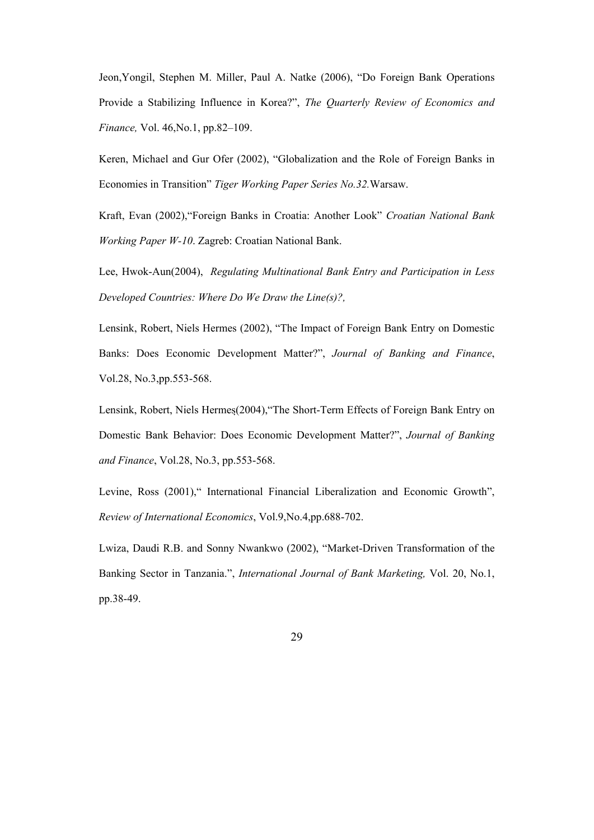Jeon,Yongil, Stephen M. Miller, Paul A. Natke (2006), "Do Foreign Bank Operations Provide a Stabilizing Influence in Korea?", *The Quarterly Review of Economics and Finance,* Vol. 46,No.1, pp.82–109.

Keren, Michael and Gur Ofer (2002), "Globalization and the Role of Foreign Banks in Economies in Transition" *Tiger Working Paper Series No.32.*Warsaw.

Kraft, Evan (2002),"Foreign Banks in Croatia: Another Look" *Croatian National Bank Working Paper W-10*. Zagreb: Croatian National Bank.

Lee, Hwok-Aun(2004), *Regulating Multinational Bank Entry and Participation in Less Developed Countries: Where Do We Draw the Line(s)?,*

Lensink, Robert, Niels Hermes (2002), "The Impact of Foreign Bank Entry on Domestic Banks: Does Economic Development Matter?", *Journal of Banking and Finance*, Vol.28, No.3,pp.553-568.

Lensink, Robert, Niels Hermes(2004),"The Short-Term Effects of Foreign Bank Entry on Domestic Bank Behavior: Does Economic Development Matter?", *Journal of Banking and Finance*, Vol.28, No.3, pp.553-568.

Levine, Ross (2001)," International Financial Liberalization and Economic Growth", *Review of International Economics*, Vol.9,No.4,pp.688-702.

Lwiza, Daudi R.B. and Sonny Nwankwo (2002), "Market-Driven Transformation of the Banking Sector in Tanzania.", *International Journal of Bank Marketing,* Vol. 20, No.1, pp.38-49.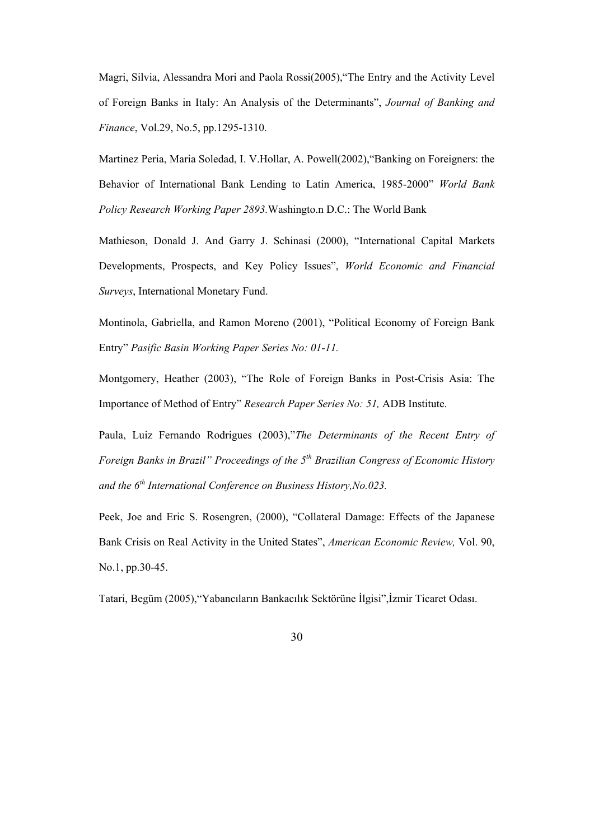Magri, Silvia, Alessandra Mori and Paola Rossi(2005),"The Entry and the Activity Level of Foreign Banks in Italy: An Analysis of the Determinants", *Journal of Banking and Finance*, Vol.29, No.5, pp.1295-1310.

Martinez Peria, Maria Soledad, I. V.Hollar, A. Powell(2002),"Banking on Foreigners: the Behavior of International Bank Lending to Latin America, 1985-2000" *World Bank Policy Research Working Paper 2893.*Washingto.n D.C.: The World Bank

Mathieson, Donald J. And Garry J. Schinasi (2000), "International Capital Markets Developments, Prospects, and Key Policy Issues", *World Economic and Financial Surveys*, International Monetary Fund.

Montinola, Gabriella, and Ramon Moreno (2001), "Political Economy of Foreign Bank Entry" *Pasific Basin Working Paper Series No: 01-11.*

Montgomery, Heather (2003), "The Role of Foreign Banks in Post-Crisis Asia: The Importance of Method of Entry" *Research Paper Series No: 51,* ADB Institute.

Paula, Luiz Fernando Rodrigues (2003),"*The Determinants of the Recent Entry of Foreign Banks in Brazil" Proceedings of the 5th Brazilian Congress of Economic History and the 6th International Conference on Business History,No.023.*

Peek, Joe and Eric S. Rosengren, (2000), "Collateral Damage: Effects of the Japanese Bank Crisis on Real Activity in the United States", *American Economic Review,* Vol. 90, No.1, pp.30-45.

Tatari, Begüm (2005),"Yabancıların Bankacılık Sektörüne İlgisi",İzmir Ticaret Odası.